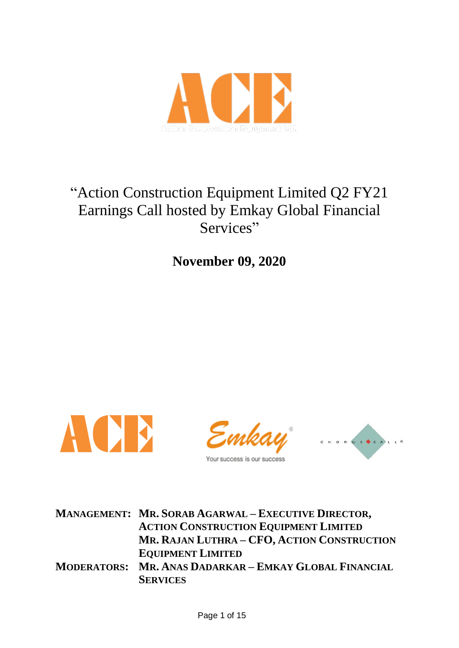

# "Action Construction Equipment Limited Q2 FY21 Earnings Call hosted by Emkay Global Financial Services"

**November 09, 2020**







**MANAGEMENT: MR. SORAB AGARWAL – EXECUTIVE DIRECTOR, ACTION CONSTRUCTION EQUIPMENT LIMITED MR. RAJAN LUTHRA – CFO, ACTION CONSTRUCTION EQUIPMENT LIMITED MODERATORS: MR. ANAS DADARKAR – EMKAY GLOBAL FINANCIAL SERVICES**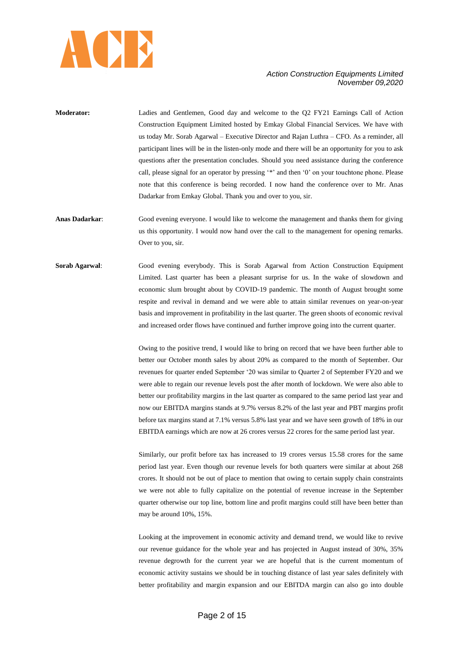

- **Moderator:** Ladies and Gentlemen, Good day and welcome to the Q2 FY21 Earnings Call of Action Construction Equipment Limited hosted by Emkay Global Financial Services. We have with us today Mr. Sorab Agarwal – Executive Director and Rajan Luthra – CFO. As a reminder, all participant lines will be in the listen-only mode and there will be an opportunity for you to ask questions after the presentation concludes. Should you need assistance during the conference call, please signal for an operator by pressing '\*' and then '0' on your touchtone phone. Please note that this conference is being recorded. I now hand the conference over to Mr. Anas Dadarkar from Emkay Global. Thank you and over to you, sir.
- **Anas Dadarkar**: Good evening everyone. I would like to welcome the management and thanks them for giving us this opportunity. I would now hand over the call to the management for opening remarks. Over to you, sir.
- **Sorab Agarwal**: Good evening everybody. This is Sorab Agarwal from Action Construction Equipment Limited. Last quarter has been a pleasant surprise for us. In the wake of slowdown and economic slum brought about by COVID-19 pandemic. The month of August brought some respite and revival in demand and we were able to attain similar revenues on year-on-year basis and improvement in profitability in the last quarter. The green shoots of economic revival and increased order flows have continued and further improve going into the current quarter.

Owing to the positive trend, I would like to bring on record that we have been further able to better our October month sales by about 20% as compared to the month of September. Our revenues for quarter ended September "20 was similar to Quarter 2 of September FY20 and we were able to regain our revenue levels post the after month of lockdown. We were also able to better our profitability margins in the last quarter as compared to the same period last year and now our EBITDA margins stands at 9.7% versus 8.2% of the last year and PBT margins profit before tax margins stand at 7.1% versus 5.8% last year and we have seen growth of 18% in our EBITDA earnings which are now at 26 crores versus 22 crores for the same period last year.

Similarly, our profit before tax has increased to 19 crores versus 15.58 crores for the same period last year. Even though our revenue levels for both quarters were similar at about 268 crores. It should not be out of place to mention that owing to certain supply chain constraints we were not able to fully capitalize on the potential of revenue increase in the September quarter otherwise our top line, bottom line and profit margins could still have been better than may be around 10%, 15%.

Looking at the improvement in economic activity and demand trend, we would like to revive our revenue guidance for the whole year and has projected in August instead of 30%, 35% revenue degrowth for the current year we are hopeful that is the current momentum of economic activity sustains we should be in touching distance of last year sales definitely with better profitability and margin expansion and our EBITDA margin can also go into double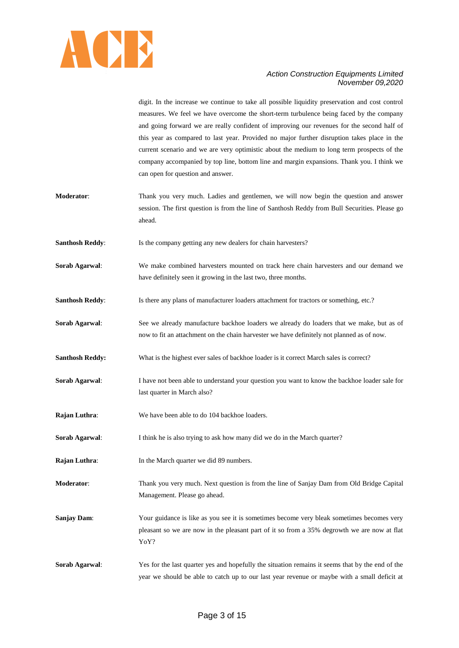

digit. In the increase we continue to take all possible liquidity preservation and cost control measures. We feel we have overcome the short-term turbulence being faced by the company and going forward we are really confident of improving our revenues for the second half of this year as compared to last year. Provided no major further disruption takes place in the current scenario and we are very optimistic about the medium to long term prospects of the company accompanied by top line, bottom line and margin expansions. Thank you. I think we can open for question and answer.

- **Moderator**: Thank you very much. Ladies and gentlemen, we will now begin the question and answer session. The first question is from the line of Santhosh Reddy from Bull Securities. Please go ahead.
- **Santhosh Reddy:** Is the company getting any new dealers for chain harvesters?
- **Sorab Agarwal**: We make combined harvesters mounted on track here chain harvesters and our demand we have definitely seen it growing in the last two, three months.
- **Santhosh Reddy:** Is there any plans of manufacturer loaders attachment for tractors or something, etc.?
- **Sorab Agarwal**: See we already manufacture backhoe loaders we already do loaders that we make, but as of now to fit an attachment on the chain harvester we have definitely not planned as of now.
- **Santhosh Reddy:** What is the highest ever sales of backhoe loader is it correct March sales is correct?
- **Sorab Agarwal:** I have not been able to understand your question you want to know the backhoe loader sale for last quarter in March also?
- **Rajan Luthra:** We have been able to do 104 backhoe loaders.
- **Sorab Agarwal:** I think he is also trying to ask how many did we do in the March quarter?
- **Rajan Luthra:** In the March quarter we did 89 numbers.
- **Moderator**: Thank you very much. Next question is from the line of Sanjay Dam from Old Bridge Capital Management. Please go ahead.
- **Sanjay Dam:** Your guidance is like as you see it is sometimes become very bleak sometimes becomes very pleasant so we are now in the pleasant part of it so from a 35% degrowth we are now at flat YoY?

**Sorab Agarwal:** Yes for the last quarter yes and hopefully the situation remains it seems that by the end of the year we should be able to catch up to our last year revenue or maybe with a small deficit at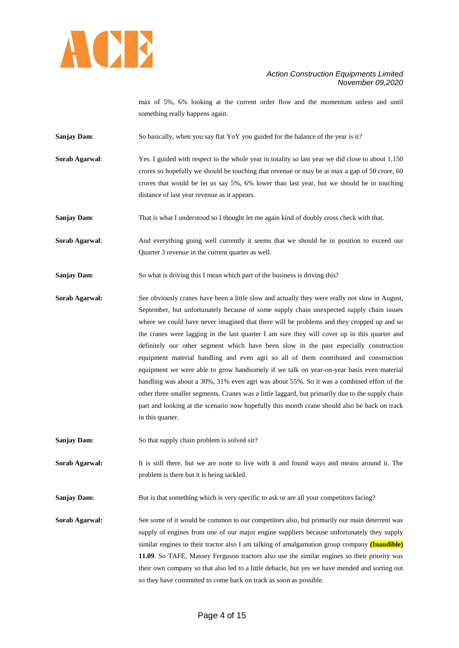

max of 5%, 6% looking at the current order flow and the momentum unless and until something really happens again.

**Sanjay Dam:** So basically, when you say flat YoY you guided for the balance of the year is it?

**Sorab Agarwal:** Yes. I guided with respect to the whole year in totality so last year we did close to about 1,150 crores so hopefully we should be touching that revenue or may be at max a gap of 50 crore, 60 crores that would be let us say 5%, 6% lower than last year, but we should be in touching distance of last year revenue as it appears.

**Sanjay Dam:** That is what I understood so I thought let me again kind of doubly cross check with that.

Sorab Agarwal: And everything going well currently it seems that we should be in position to exceed our Quarter 3 revenue in the current quarter as well.

Sanjay Dam: So what is driving this I mean which part of the business is driving this?

**Sorab Agarwal:** See obviously cranes have been a little slow and actually they were really not slow in August, September, but unfortunately because of some supply chain unexpected supply chain issues where we could have never imagined that there will be problems and they cropped up and so the cranes were lagging in the last quarter I am sure they will cover up in this quarter and definitely our other segment which have been slow in the past especially construction equipment material handling and even agri so all of them contributed and construction equipment we were able to grow handsomely if we talk on year-on-year basis even material handling was about a 30%, 31% even agri was about 55%. So it was a combined effort of the other three smaller segments. Cranes was a little laggard, but primarily due to the supply chain part and looking at the scenario now hopefully this month crane should also be back on track in this quarter.

**Sanjay Dam:** So that supply chain problem is solved sir?

**Sorab Agarwal:** It is still there, but we are none to live with it and found ways and means around it. The problem is there but it is being tackled.

**Sanjay Dam:** But is that something which is very specific to ask or are all your competitors facing?

**Sorab Agarwal:** See some of it would be common to our competitors also, but primarily our main deterrent was supply of engines from one of our major engine suppliers because unfortunately they supply similar engines to their tractor also I am talking of amalgamation group company **(Inaudible) 11.09**. So TAFE, Massey Ferguson tractors also use the similar engines so their priority was their own company so that also led to a little debacle, but yes we have mended and sorting out so they have committed to come back on track as soon as possible.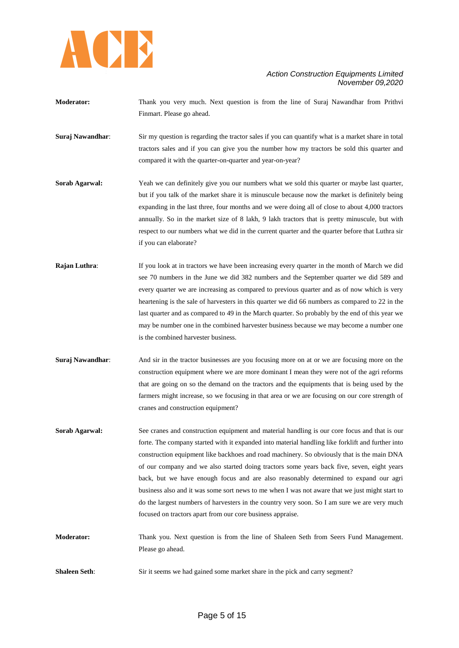

- **Moderator:** Thank you very much. Next question is from the line of Suraj Nawandhar from Prithvi Finmart. Please go ahead.
- **Suraj Nawandhar:** Sir my question is regarding the tractor sales if you can quantify what is a market share in total tractors sales and if you can give you the number how my tractors be sold this quarter and compared it with the quarter-on-quarter and year-on-year?
- **Sorab Agarwal:** Yeah we can definitely give you our numbers what we sold this quarter or maybe last quarter, but if you talk of the market share it is minuscule because now the market is definitely being expanding in the last three, four months and we were doing all of close to about 4,000 tractors annually. So in the market size of 8 lakh, 9 lakh tractors that is pretty minuscule, but with respect to our numbers what we did in the current quarter and the quarter before that Luthra sir if you can elaborate?
- **Rajan Luthra:** If you look at in tractors we have been increasing every quarter in the month of March we did see 70 numbers in the June we did 382 numbers and the September quarter we did 589 and every quarter we are increasing as compared to previous quarter and as of now which is very heartening is the sale of harvesters in this quarter we did 66 numbers as compared to 22 in the last quarter and as compared to 49 in the March quarter. So probably by the end of this year we may be number one in the combined harvester business because we may become a number one is the combined harvester business.
- **Suraj Nawandhar:** And sir in the tractor businesses are you focusing more on at or we are focusing more on the construction equipment where we are more dominant I mean they were not of the agri reforms that are going on so the demand on the tractors and the equipments that is being used by the farmers might increase, so we focusing in that area or we are focusing on our core strength of cranes and construction equipment?
- **Sorab Agarwal:** See cranes and construction equipment and material handling is our core focus and that is our forte. The company started with it expanded into material handling like forklift and further into construction equipment like backhoes and road machinery. So obviously that is the main DNA of our company and we also started doing tractors some years back five, seven, eight years back, but we have enough focus and are also reasonably determined to expand our agri business also and it was some sort news to me when I was not aware that we just might start to do the largest numbers of harvesters in the country very soon. So I am sure we are very much focused on tractors apart from our core business appraise.
- **Moderator:** Thank you. Next question is from the line of Shaleen Seth from Seers Fund Management. Please go ahead.
- **Shaleen Seth**: Sir it seems we had gained some market share in the pick and carry segment?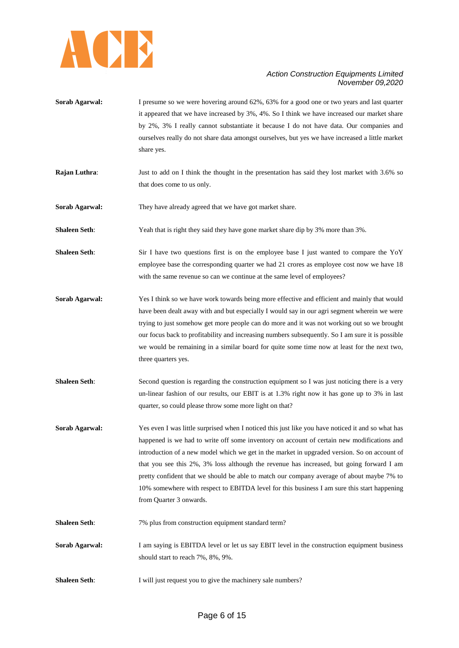

- **Sorab Agarwal:** I presume so we were hovering around 62%, 63% for a good one or two years and last quarter it appeared that we have increased by 3%, 4%. So I think we have increased our market share by 2%, 3% I really cannot substantiate it because I do not have data. Our companies and ourselves really do not share data amongst ourselves, but yes we have increased a little market share yes.
- **Rajan Luthra:** Just to add on I think the thought in the presentation has said they lost market with 3.6% so that does come to us only.

**Sorab Agarwal:** They have already agreed that we have got market share.

**Shaleen Seth**: Yeah that is right they said they have gone market share dip by 3% more than 3%.

**Shaleen Seth**: Sir I have two questions first is on the employee base I just wanted to compare the YoY employee base the corresponding quarter we had 21 crores as employee cost now we have 18 with the same revenue so can we continue at the same level of employees?

- **Sorab Agarwal:** Yes I think so we have work towards being more effective and efficient and mainly that would have been dealt away with and but especially I would say in our agri segment wherein we were trying to just somehow get more people can do more and it was not working out so we brought our focus back to profitability and increasing numbers subsequently. So I am sure it is possible we would be remaining in a similar board for quite some time now at least for the next two, three quarters yes.
- **Shaleen Seth**: Second question is regarding the construction equipment so I was just noticing there is a very un-linear fashion of our results, our EBIT is at 1.3% right now it has gone up to 3% in last quarter, so could please throw some more light on that?

**Sorab Agarwal:** Yes even I was little surprised when I noticed this just like you have noticed it and so what has happened is we had to write off some inventory on account of certain new modifications and introduction of a new model which we get in the market in upgraded version. So on account of that you see this 2%, 3% loss although the revenue has increased, but going forward I am pretty confident that we should be able to match our company average of about maybe 7% to 10% somewhere with respect to EBITDA level for this business I am sure this start happening from Quarter 3 onwards.

- **Shaleen Seth:** 7% plus from construction equipment standard term?
- **Sorab Agarwal:** I am saying is EBITDA level or let us say EBIT level in the construction equipment business should start to reach 7%, 8%, 9%.
- **Shaleen Seth**: I will just request you to give the machinery sale numbers?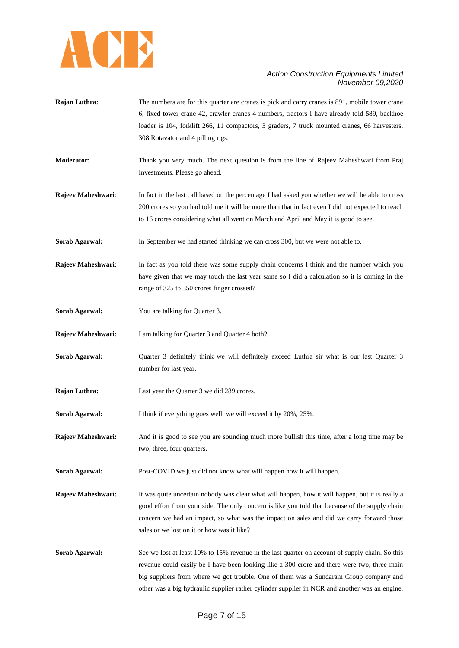

- **Rajan Luthra:** The numbers are for this quarter are cranes is pick and carry cranes is 891, mobile tower crane 6, fixed tower crane 42, crawler cranes 4 numbers, tractors I have already told 589, backhoe loader is 104, forklift 266, 11 compactors, 3 graders, 7 truck mounted cranes, 66 harvesters, 308 Rotavator and 4 pilling rigs.
- **Moderator**: Thank you very much. The next question is from the line of Rajeev Maheshwari from Praj Investments. Please go ahead.
- **Rajeev Maheshwari:** In fact in the last call based on the percentage I had asked you whether we will be able to cross 200 crores so you had told me it will be more than that in fact even I did not expected to reach to 16 crores considering what all went on March and April and May it is good to see.
- **Sorab Agarwal:** In September we had started thinking we can cross 300, but we were not able to.
- **Rajeev Maheshwari:** In fact as you told there was some supply chain concerns I think and the number which you have given that we may touch the last year same so I did a calculation so it is coming in the range of 325 to 350 crores finger crossed?
- **Sorab Agarwal:** You are talking for Quarter 3.
- **Rajeev Maheshwari:** I am talking for Quarter 3 and Quarter 4 both?
- **Sorab Agarwal:** Quarter 3 definitely think we will definitely exceed Luthra sir what is our last Quarter 3 number for last year.
- **Rajan Luthra:** Last year the Quarter 3 we did 289 crores.
- **Sorab Agarwal:** I think if everything goes well, we will exceed it by 20%, 25%.
- **Rajeev Maheshwari:** And it is good to see you are sounding much more bullish this time, after a long time may be two, three, four quarters.
- **Sorab Agarwal:** Post-COVID we just did not know what will happen how it will happen.
- **Rajeev Maheshwari:** It was quite uncertain nobody was clear what will happen, how it will happen, but it is really a good effort from your side. The only concern is like you told that because of the supply chain concern we had an impact, so what was the impact on sales and did we carry forward those sales or we lost on it or how was it like?
- **Sorab Agarwal:** See we lost at least 10% to 15% revenue in the last quarter on account of supply chain. So this revenue could easily be I have been looking like a 300 crore and there were two, three main big suppliers from where we got trouble. One of them was a Sundaram Group company and other was a big hydraulic supplier rather cylinder supplier in NCR and another was an engine.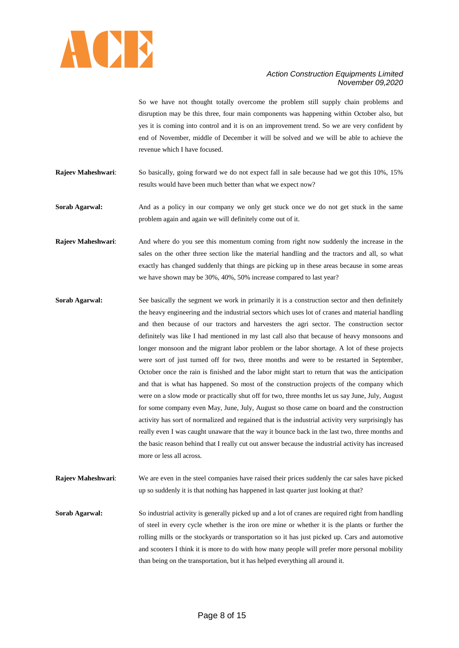

So we have not thought totally overcome the problem still supply chain problems and disruption may be this three, four main components was happening within October also, but yes it is coming into control and it is on an improvement trend. So we are very confident by end of November, middle of December it will be solved and we will be able to achieve the revenue which I have focused.

**Rajeev Maheshwari**: So basically, going forward we do not expect fall in sale because had we got this 10%, 15% results would have been much better than what we expect now?

**Sorab Agarwal:** And as a policy in our company we only get stuck once we do not get stuck in the same problem again and again we will definitely come out of it.

- **Rajeev Maheshwari:** And where do you see this momentum coming from right now suddenly the increase in the sales on the other three section like the material handling and the tractors and all, so what exactly has changed suddenly that things are picking up in these areas because in some areas we have shown may be 30%, 40%, 50% increase compared to last year?
- **Sorab Agarwal:** See basically the segment we work in primarily it is a construction sector and then definitely the heavy engineering and the industrial sectors which uses lot of cranes and material handling and then because of our tractors and harvesters the agri sector. The construction sector definitely was like I had mentioned in my last call also that because of heavy monsoons and longer monsoon and the migrant labor problem or the labor shortage. A lot of these projects were sort of just turned off for two, three months and were to be restarted in September, October once the rain is finished and the labor might start to return that was the anticipation and that is what has happened. So most of the construction projects of the company which were on a slow mode or practically shut off for two, three months let us say June, July, August for some company even May, June, July, August so those came on board and the construction activity has sort of normalized and regained that is the industrial activity very surprisingly has really even I was caught unaware that the way it bounce back in the last two, three months and the basic reason behind that I really cut out answer because the industrial activity has increased more or less all across.
- **Rajeev Maheshwari:** We are even in the steel companies have raised their prices suddenly the car sales have picked up so suddenly it is that nothing has happened in last quarter just looking at that?

**Sorab Agarwal:** So industrial activity is generally picked up and a lot of cranes are required right from handling of steel in every cycle whether is the iron ore mine or whether it is the plants or further the rolling mills or the stockyards or transportation so it has just picked up. Cars and automotive and scooters I think it is more to do with how many people will prefer more personal mobility than being on the transportation, but it has helped everything all around it.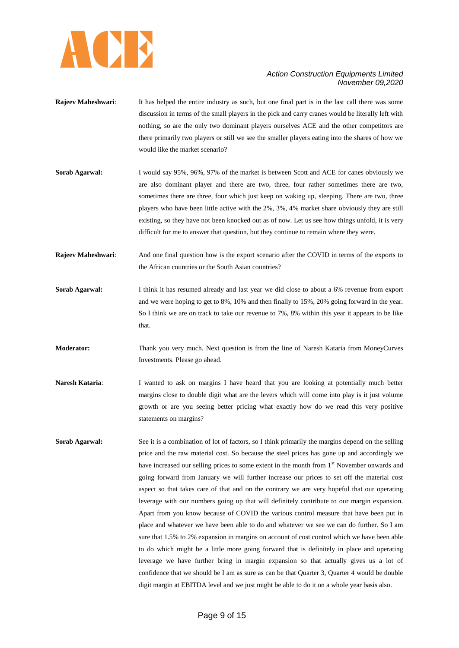

- **Rajeev Maheshwari:** It has helped the entire industry as such, but one final part is in the last call there was some discussion in terms of the small players in the pick and carry cranes would be literally left with nothing, so are the only two dominant players ourselves ACE and the other competitors are there primarily two players or still we see the smaller players eating into the shares of how we would like the market scenario?
- **Sorab Agarwal:** I would say 95%, 96%, 97% of the market is between Scott and ACE for canes obviously we are also dominant player and there are two, three, four rather sometimes there are two, sometimes there are three, four which just keep on waking up, sleeping. There are two, three players who have been little active with the 2%, 3%, 4% market share obviously they are still existing, so they have not been knocked out as of now. Let us see how things unfold, it is very difficult for me to answer that question, but they continue to remain where they were.
- **Rajeev Maheshwari**: And one final question how is the export scenario after the COVID in terms of the exports to the African countries or the South Asian countries?
- **Sorab Agarwal:** I think it has resumed already and last year we did close to about a 6% revenue from export and we were hoping to get to 8%, 10% and then finally to 15%, 20% going forward in the year. So I think we are on track to take our revenue to 7%, 8% within this year it appears to be like that.
- **Moderator:** Thank you very much. Next question is from the line of Naresh Kataria from MoneyCurves Investments. Please go ahead.
- **Naresh Kataria:** I wanted to ask on margins I have heard that you are looking at potentially much better margins close to double digit what are the levers which will come into play is it just volume growth or are you seeing better pricing what exactly how do we read this very positive statements on margins?
- **Sorab Agarwal:** See it is a combination of lot of factors, so I think primarily the margins depend on the selling price and the raw material cost. So because the steel prices has gone up and accordingly we have increased our selling prices to some extent in the month from 1<sup>st</sup> November onwards and going forward from January we will further increase our prices to set off the material cost aspect so that takes care of that and on the contrary we are very hopeful that our operating leverage with our numbers going up that will definitely contribute to our margin expansion. Apart from you know because of COVID the various control measure that have been put in place and whatever we have been able to do and whatever we see we can do further. So I am sure that 1.5% to 2% expansion in margins on account of cost control which we have been able to do which might be a little more going forward that is definitely in place and operating leverage we have further bring in margin expansion so that actually gives us a lot of confidence that we should be I am as sure as can be that Quarter 3, Quarter 4 would be double digit margin at EBITDA level and we just might be able to do it on a whole year basis also.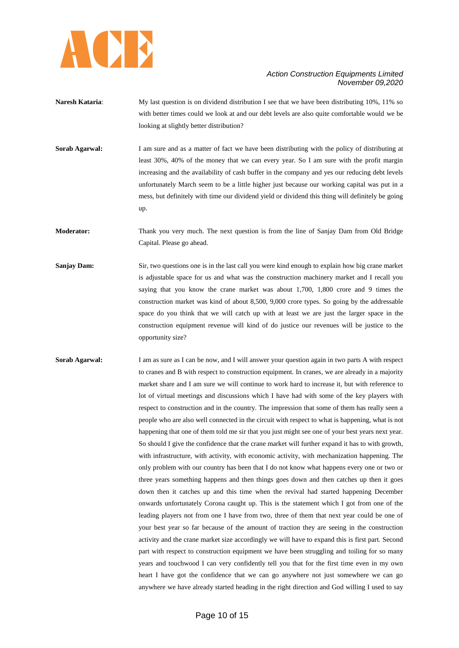

- **Naresh Kataria:** My last question is on dividend distribution I see that we have been distributing 10%, 11% so with better times could we look at and our debt levels are also quite comfortable would we be looking at slightly better distribution?
- **Sorab Agarwal:** I am sure and as a matter of fact we have been distributing with the policy of distributing at least 30%, 40% of the money that we can every year. So I am sure with the profit margin increasing and the availability of cash buffer in the company and yes our reducing debt levels unfortunately March seem to be a little higher just because our working capital was put in a mess, but definitely with time our dividend yield or dividend this thing will definitely be going up.
- **Moderator:** Thank you very much. The next question is from the line of Sanjay Dam from Old Bridge Capital. Please go ahead.
- **Sanjay Dam:** Sir, two questions one is in the last call you were kind enough to explain how big crane market is adjustable space for us and what was the construction machinery market and I recall you saying that you know the crane market was about 1,700, 1,800 crore and 9 times the construction market was kind of about 8,500, 9,000 crore types. So going by the addressable space do you think that we will catch up with at least we are just the larger space in the construction equipment revenue will kind of do justice our revenues will be justice to the opportunity size?
- **Sorab Agarwal:** I am as sure as I can be now, and I will answer your question again in two parts A with respect to cranes and B with respect to construction equipment. In cranes, we are already in a majority market share and I am sure we will continue to work hard to increase it, but with reference to lot of virtual meetings and discussions which I have had with some of the key players with respect to construction and in the country. The impression that some of them has really seen a people who are also well connected in the circuit with respect to what is happening, what is not happening that one of them told me sir that you just might see one of your best years next year. So should I give the confidence that the crane market will further expand it has to with growth, with infrastructure, with activity, with economic activity, with mechanization happening. The only problem with our country has been that I do not know what happens every one or two or three years something happens and then things goes down and then catches up then it goes down then it catches up and this time when the revival had started happening December onwards unfortunately Corona caught up. This is the statement which I got from one of the leading players not from one I have from two, three of them that next year could be one of your best year so far because of the amount of traction they are seeing in the construction activity and the crane market size accordingly we will have to expand this is first part. Second part with respect to construction equipment we have been struggling and toiling for so many years and touchwood I can very confidently tell you that for the first time even in my own heart I have got the confidence that we can go anywhere not just somewhere we can go anywhere we have already started heading in the right direction and God willing I used to say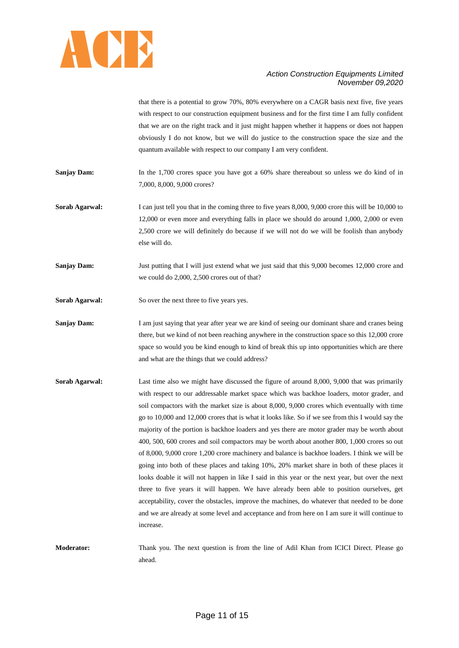

that there is a potential to grow 70%, 80% everywhere on a CAGR basis next five, five years with respect to our construction equipment business and for the first time I am fully confident that we are on the right track and it just might happen whether it happens or does not happen obviously I do not know, but we will do justice to the construction space the size and the quantum available with respect to our company I am very confident.

**Sanjay Dam:** In the 1,700 crores space you have got a 60% share thereabout so unless we do kind of in 7,000, 8,000, 9,000 crores?

**Sorab Agarwal:** I can just tell you that in the coming three to five years 8,000, 9,000 crore this will be 10,000 to 12,000 or even more and everything falls in place we should do around 1,000, 2,000 or even 2,500 crore we will definitely do because if we will not do we will be foolish than anybody else will do.

**Sanjay Dam:** Just putting that I will just extend what we just said that this 9,000 becomes 12,000 crore and we could do 2,000, 2,500 crores out of that?

**Sorab Agarwal:** So over the next three to five years yes.

**Sanjay Dam:** I am just saying that year after year we are kind of seeing our dominant share and cranes being there, but we kind of not been reaching anywhere in the construction space so this 12,000 crore space so would you be kind enough to kind of break this up into opportunities which are there and what are the things that we could address?

**Sorab Agarwal:** Last time also we might have discussed the figure of around 8,000, 9,000 that was primarily with respect to our addressable market space which was backhoe loaders, motor grader, and soil compactors with the market size is about 8,000, 9,000 crores which eventually with time go to 10,000 and 12,000 crores that is what it looks like. So if we see from this I would say the majority of the portion is backhoe loaders and yes there are motor grader may be worth about 400, 500, 600 crores and soil compactors may be worth about another 800, 1,000 crores so out of 8,000, 9,000 crore 1,200 crore machinery and balance is backhoe loaders. I think we will be going into both of these places and taking 10%, 20% market share in both of these places it looks doable it will not happen in like I said in this year or the next year, but over the next three to five years it will happen. We have already been able to position ourselves, get acceptability, cover the obstacles, improve the machines, do whatever that needed to be done and we are already at some level and acceptance and from here on I am sure it will continue to increase.

**Moderator:** Thank you. The next question is from the line of Adil Khan from ICICI Direct. Please go ahead.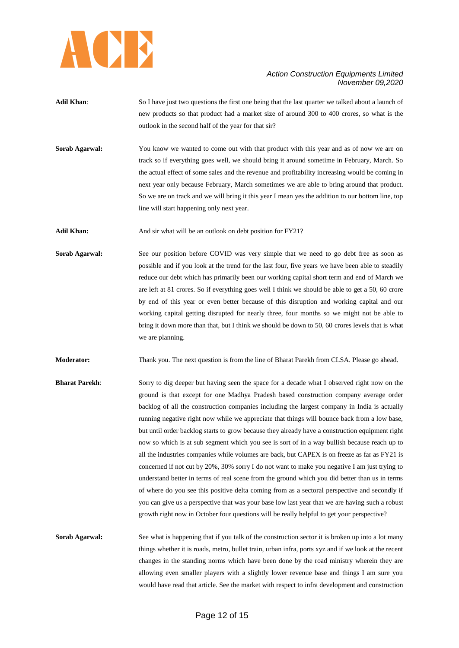

- **Adil Khan:** So I have just two questions the first one being that the last quarter we talked about a launch of new products so that product had a market size of around 300 to 400 crores, so what is the outlook in the second half of the year for that sir?
- **Sorab Agarwal:** You know we wanted to come out with that product with this year and as of now we are on track so if everything goes well, we should bring it around sometime in February, March. So the actual effect of some sales and the revenue and profitability increasing would be coming in next year only because February, March sometimes we are able to bring around that product. So we are on track and we will bring it this year I mean yes the addition to our bottom line, top line will start happening only next year.

Adil Khan: And sir what will be an outlook on debt position for FY21?

**Sorab Agarwal:** See our position before COVID was very simple that we need to go debt free as soon as possible and if you look at the trend for the last four, five years we have been able to steadily reduce our debt which has primarily been our working capital short term and end of March we are left at 81 crores. So if everything goes well I think we should be able to get a 50, 60 crore by end of this year or even better because of this disruption and working capital and our working capital getting disrupted for nearly three, four months so we might not be able to bring it down more than that, but I think we should be down to 50, 60 crores levels that is what we are planning.

**Moderator:** Thank you. The next question is from the line of Bharat Parekh from CLSA. Please go ahead.

**Bharat Parekh**: Sorry to dig deeper but having seen the space for a decade what I observed right now on the ground is that except for one Madhya Pradesh based construction company average order backlog of all the construction companies including the largest company in India is actually running negative right now while we appreciate that things will bounce back from a low base, but until order backlog starts to grow because they already have a construction equipment right now so which is at sub segment which you see is sort of in a way bullish because reach up to all the industries companies while volumes are back, but CAPEX is on freeze as far as FY21 is concerned if not cut by 20%, 30% sorry I do not want to make you negative I am just trying to understand better in terms of real scene from the ground which you did better than us in terms of where do you see this positive delta coming from as a sectoral perspective and secondly if you can give us a perspective that was your base low last year that we are having such a robust growth right now in October four questions will be really helpful to get your perspective?

**Sorab Agarwal:** See what is happening that if you talk of the construction sector it is broken up into a lot many things whether it is roads, metro, bullet train, urban infra, ports xyz and if we look at the recent changes in the standing norms which have been done by the road ministry wherein they are allowing even smaller players with a slightly lower revenue base and things I am sure you would have read that article. See the market with respect to infra development and construction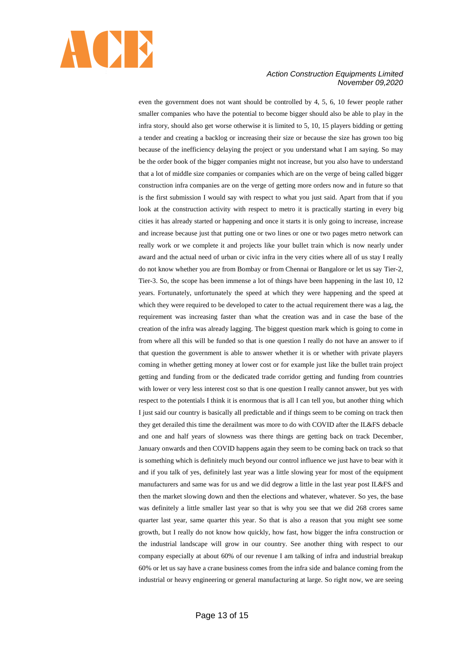

even the government does not want should be controlled by 4, 5, 6, 10 fewer people rather smaller companies who have the potential to become bigger should also be able to play in the infra story, should also get worse otherwise it is limited to 5, 10, 15 players bidding or getting a tender and creating a backlog or increasing their size or because the size has grown too big because of the inefficiency delaying the project or you understand what I am saying. So may be the order book of the bigger companies might not increase, but you also have to understand that a lot of middle size companies or companies which are on the verge of being called bigger construction infra companies are on the verge of getting more orders now and in future so that is the first submission I would say with respect to what you just said. Apart from that if you look at the construction activity with respect to metro it is practically starting in every big cities it has already started or happening and once it starts it is only going to increase, increase and increase because just that putting one or two lines or one or two pages metro network can really work or we complete it and projects like your bullet train which is now nearly under award and the actual need of urban or civic infra in the very cities where all of us stay I really do not know whether you are from Bombay or from Chennai or Bangalore or let us say Tier-2, Tier-3. So, the scope has been immense a lot of things have been happening in the last 10, 12 years. Fortunately, unfortunately the speed at which they were happening and the speed at which they were required to be developed to cater to the actual requirement there was a lag, the requirement was increasing faster than what the creation was and in case the base of the creation of the infra was already lagging. The biggest question mark which is going to come in from where all this will be funded so that is one question I really do not have an answer to if that question the government is able to answer whether it is or whether with private players coming in whether getting money at lower cost or for example just like the bullet train project getting and funding from or the dedicated trade corridor getting and funding from countries with lower or very less interest cost so that is one question I really cannot answer, but yes with respect to the potentials I think it is enormous that is all I can tell you, but another thing which I just said our country is basically all predictable and if things seem to be coming on track then they get derailed this time the derailment was more to do with COVID after the IL&FS debacle and one and half years of slowness was there things are getting back on track December, January onwards and then COVID happens again they seem to be coming back on track so that is something which is definitely much beyond our control influence we just have to bear with it and if you talk of yes, definitely last year was a little slowing year for most of the equipment manufacturers and same was for us and we did degrow a little in the last year post IL&FS and then the market slowing down and then the elections and whatever, whatever. So yes, the base was definitely a little smaller last year so that is why you see that we did 268 crores same quarter last year, same quarter this year. So that is also a reason that you might see some growth, but I really do not know how quickly, how fast, how bigger the infra construction or the industrial landscape will grow in our country. See another thing with respect to our company especially at about 60% of our revenue I am talking of infra and industrial breakup 60% or let us say have a crane business comes from the infra side and balance coming from the industrial or heavy engineering or general manufacturing at large. So right now, we are seeing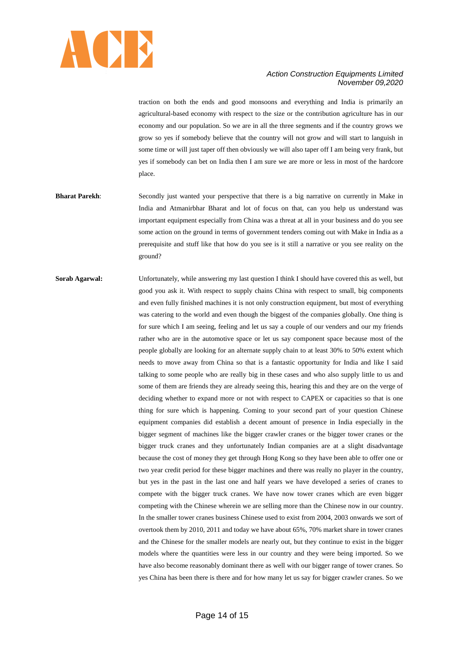

traction on both the ends and good monsoons and everything and India is primarily an agricultural-based economy with respect to the size or the contribution agriculture has in our economy and our population. So we are in all the three segments and if the country grows we grow so yes if somebody believe that the country will not grow and will start to languish in some time or will just taper off then obviously we will also taper off I am being very frank, but yes if somebody can bet on India then I am sure we are more or less in most of the hardcore place.

- **Bharat Parekh:** Secondly just wanted your perspective that there is a big narrative on currently in Make in India and Atmanirbhar Bharat and lot of focus on that, can you help us understand was important equipment especially from China was a threat at all in your business and do you see some action on the ground in terms of government tenders coming out with Make in India as a prerequisite and stuff like that how do you see is it still a narrative or you see reality on the ground?
- **Sorab Agarwal:** Unfortunately, while answering my last question I think I should have covered this as well, but good you ask it. With respect to supply chains China with respect to small, big components and even fully finished machines it is not only construction equipment, but most of everything was catering to the world and even though the biggest of the companies globally. One thing is for sure which I am seeing, feeling and let us say a couple of our venders and our my friends rather who are in the automotive space or let us say component space because most of the people globally are looking for an alternate supply chain to at least 30% to 50% extent which needs to move away from China so that is a fantastic opportunity for India and like I said talking to some people who are really big in these cases and who also supply little to us and some of them are friends they are already seeing this, hearing this and they are on the verge of deciding whether to expand more or not with respect to CAPEX or capacities so that is one thing for sure which is happening. Coming to your second part of your question Chinese equipment companies did establish a decent amount of presence in India especially in the bigger segment of machines like the bigger crawler cranes or the bigger tower cranes or the bigger truck cranes and they unfortunately Indian companies are at a slight disadvantage because the cost of money they get through Hong Kong so they have been able to offer one or two year credit period for these bigger machines and there was really no player in the country, but yes in the past in the last one and half years we have developed a series of cranes to compete with the bigger truck cranes. We have now tower cranes which are even bigger competing with the Chinese wherein we are selling more than the Chinese now in our country. In the smaller tower cranes business Chinese used to exist from 2004, 2003 onwards we sort of overtook them by 2010, 2011 and today we have about 65%, 70% market share in tower cranes and the Chinese for the smaller models are nearly out, but they continue to exist in the bigger models where the quantities were less in our country and they were being imported. So we have also become reasonably dominant there as well with our bigger range of tower cranes. So yes China has been there is there and for how many let us say for bigger crawler cranes. So we